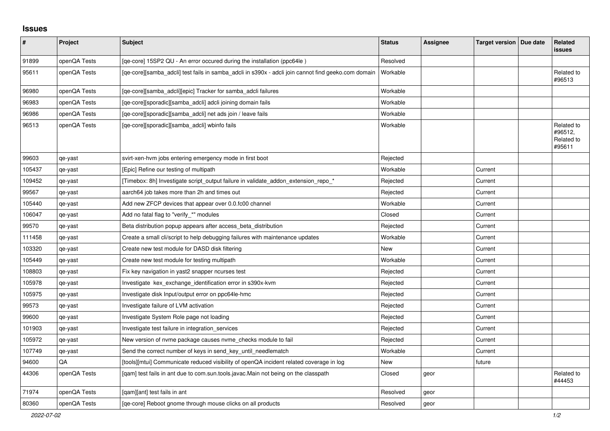## **Issues**

| ∦      | Project      | Subject                                                                                             | <b>Status</b> | Assignee | Target version   Due date | Related<br><b>issues</b>                      |
|--------|--------------|-----------------------------------------------------------------------------------------------------|---------------|----------|---------------------------|-----------------------------------------------|
| 91899  | openQA Tests | [qe-core] 15SP2 QU - An error occured during the installation (ppc64le)                             | Resolved      |          |                           |                                               |
| 95611  | openQA Tests | [qe-core][samba_adcli] test fails in samba_adcli in s390x - adcli join cannot find geeko.com domain | Workable      |          |                           | Related to<br>#96513                          |
| 96980  | openQA Tests | [qe-core][samba_adcli][epic] Tracker for samba_adcli failures                                       | Workable      |          |                           |                                               |
| 96983  | openQA Tests | [ge-core][sporadic][samba adcli] adcli joining domain fails                                         | Workable      |          |                           |                                               |
| 96986  | openQA Tests | [ge-core][sporadic][samba adcli] net ads join / leave fails                                         | Workable      |          |                           |                                               |
| 96513  | openQA Tests | [qe-core][sporadic][samba adcli] wbinfo fails                                                       | Workable      |          |                           | Related to<br>#96512,<br>Related to<br>#95611 |
| 99603  | qe-yast      | svirt-xen-hvm jobs entering emergency mode in first boot                                            | Rejected      |          |                           |                                               |
| 105437 | qe-yast      | [Epic] Refine our testing of multipath                                                              | Workable      |          | Current                   |                                               |
| 109452 | qe-yast      | [Timebox: 8h] Investigate script output failure in validate addon extension repo *                  | Rejected      |          | Current                   |                                               |
| 99567  | qe-yast      | aarch64 job takes more than 2h and times out                                                        | Rejected      |          | Current                   |                                               |
| 105440 | qe-yast      | Add new ZFCP devices that appear over 0.0.fc00 channel                                              | Workable      |          | Current                   |                                               |
| 106047 | qe-yast      | Add no fatal flag to "verify_*" modules                                                             | Closed        |          | Current                   |                                               |
| 99570  | qe-yast      | Beta distribution popup appears after access_beta_distribution                                      | Rejected      |          | Current                   |                                               |
| 111458 | qe-yast      | Create a small cli/script to help debugging failures with maintenance updates                       | Workable      |          | Current                   |                                               |
| 103320 | qe-yast      | Create new test module for DASD disk filtering                                                      | New           |          | Current                   |                                               |
| 105449 | qe-yast      | Create new test module for testing multipath                                                        | Workable      |          | Current                   |                                               |
| 108803 | qe-yast      | Fix key navigation in yast2 snapper nourses test                                                    | Rejected      |          | Current                   |                                               |
| 105978 | qe-yast      | Investigate kex_exchange_identification error in s390x-kvm                                          | Rejected      |          | Current                   |                                               |
| 105975 | qe-yast      | Investigate disk Input/output error on ppc64le-hmc                                                  | Rejected      |          | Current                   |                                               |
| 99573  | qe-yast      | Investigate failure of LVM activation                                                               | Rejected      |          | Current                   |                                               |
| 99600  | qe-yast      | Investigate System Role page not loading                                                            | Rejected      |          | Current                   |                                               |
| 101903 | qe-yast      | Investigate test failure in integration services                                                    | Rejected      |          | Current                   |                                               |
| 105972 | qe-yast      | New version of nyme package causes nyme checks module to fail                                       | Rejected      |          | Current                   |                                               |
| 107749 | qe-yast      | Send the correct number of keys in send_key_until_needlematch                                       | Workable      |          | Current                   |                                               |
| 94600  | QA           | [tools][mtui] Communicate reduced visibility of openQA incident related coverage in log             | New           |          | future                    |                                               |
| 44306  | openQA Tests | [qam] test fails in ant due to com.sun.tools.javac.Main not being on the classpath                  | Closed        | geor     |                           | Related to<br>#44453                          |
| 71974  | openQA Tests | [qam][ant] test fails in ant                                                                        | Resolved      | geor     |                           |                                               |
| 80360  | openQA Tests | [ge-core] Reboot gnome through mouse clicks on all products                                         | Resolved      | geor     |                           |                                               |